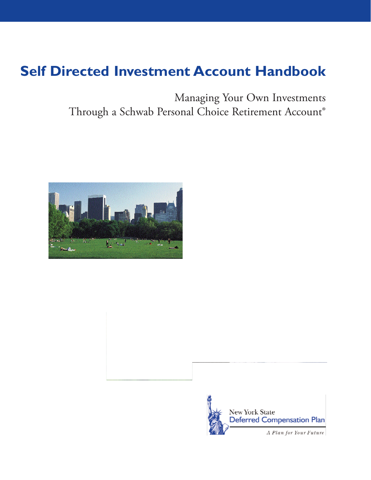# **Self Directed Investment Account Handbook**

anal Choice Retirement Account®  $\sigma$ <sup>2</sup>



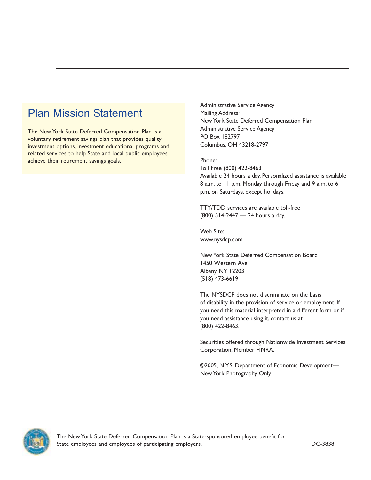# Plan Mission Statement

The New York State Deferred Compensation Plan is a voluntary retirement savings plan that provides quality investment options, investment educational programs and related services to help State and local public employees achieve their retirement savings goals.

Administrative Service Agency Mailing Address: New York State Deferred Compensation Plan Administrative Service Agency PO Box 182797 Columbus, OH 43218-2797

Phone:

Toll Free (800) 422-8463 Available 24 hours a day. Personalized assistance is available 8 a.m. to 11 p.m. Monday through Friday and 9 a.m. to 6 p.m. on Saturdays, except holidays.

TTY/TDD services are available toll-free (800) 514-2447 — 24 hours a day.

Web Site: <www.nysdcp.com>

New York State Deferred Compensation Board 1450 Western Ave Albany, NY 12203 (518) 473-6619

The NYSDCP does not discriminate on the basis of disability in the provision of service or employment. If you need this material interpreted in a different form or if you need assistance using it, contact us at (800) 422-8463.

Securities offered through Nationwide Investment Services Corporation, Member FINRA.

©2005, N.Y.S. Department of Economic Development— New York Photography Only

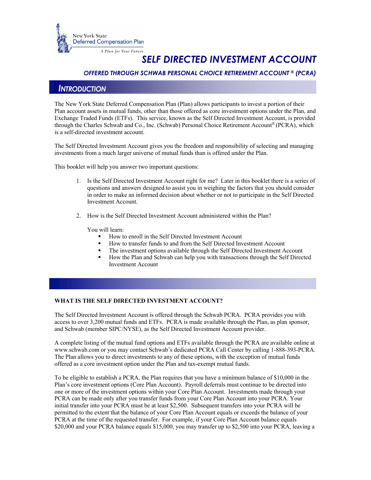

# *SELF DIRECTED INVESTMENT ACCOUNT*

# *OFFERED THROUGH SCHWAB PERSONAL CHOICE RETIREMENT ACCOUNT* **®** *(PCRA)*

# *INTRODUCTION*

 The New York State Deferred Compensation Plan (Plan) allows participants to invest a portion of their Plan account assets in mutual funds, other than those offered as core investment options under the Plan, and Exchange Traded Funds (ETFs). This service, known as the Self Directed Investment Account, is provided is a self-directed investment account. through the Charles Schwab and Co., Inc. (Schwab) Personal Choice Retirement Account® (PCRA), which

 The Self Directed Investment Account gives you the freedom and responsibility of selecting and managing investments from a much larger universe of mutual funds than is offered under the Plan.

This booklet will help you answer two important questions:

- 1. Is the Self Directed Investment Account right for me? Later in this booklet there is a series of questions and answers designed to assist you in weighing the factors that you should consider Investment Account. in order to make an informed decision about whether or not to participate in the Self Directed
- 2. How is the Self Directed Investment Account administered within the Plan?

You will learn:

- How to enroll in the Self Directed Investment Account
- How to transfer funds to and from the Self Directed Investment Account
- The investment options available through the Self Directed Investment Account
- • How the Plan and Schwab can help you with transactions through the Self Directed Investment Account

#### **WHAT IS THE SELF DIRECTED INVESTMENT ACCOUNT?**

 The Self Directed Investment Account is offered through the Schwab PCRA. PCRA provides you with access to over 3,200 mutual funds and ETFs. PCRA is made available through the Plan, as plan sponsor, and Schwab (member SIPC/NYSE), as the Self Directed Investment Account provider.

 <www.schwab.com>or you may contact Schwab's dedicated PCRA Call Center by calling 1-888-393-PCRA. The Plan allows you to direct investments to any of these options, with the exception of mutual funds offered as a core investment option under the Plan and tax-exempt mutual funds. A complete listing of the mutual fund options and ETFs available through the PCRA are available online at

 To be eligible to establish a PCRA, the Plan requires that you have a minimum balance of \$10,000 in the Plan's core investment options (Core Plan Account). Payroll deferrals must continue to be directed into one or more of the investment options within your Core Plan Account. Investments made through your PCRA can be made only after you transfer funds from your Core Plan Account into your PCRA. Your permitted to the extent that the balance of your Core Plan Account equals or exceeds the balance of your PCRA at the time of the requested transfer. For example, if your Core Plan Account balance equals \$20,000 and your PCRA balance equals \$15,000, you may transfer up to \$2,500 into your PCRA, leaving a initial transfer into your PCRA must be at least \$2,500. Subsequent transfers into your PCRA will be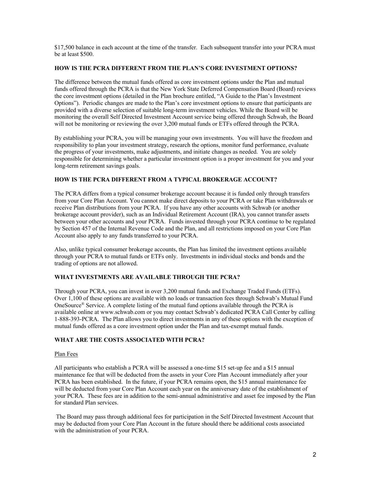\$17,500 balance in each account at the time of the transfer. Each subsequent transfer into your PCRA must be at least \$500.

#### **HOW IS THE PCRA DIFFERENT FROM THE PLAN'S CORE INVESTMENT OPTIONS?**

 The difference between the mutual funds offered as core investment options under the Plan and mutual funds offered through the PCRA is that the New York State Deferred Compensation Board (Board) reviews Options"). Periodic changes are made to the Plan's core investment options to ensure that participants are provided with a diverse selection of suitable long-term investment vehicles. While the Board will be monitoring the overall Self Directed Investment Account service being offered through Schwab, the Board will not be monitoring or reviewing the over 3,200 mutual funds or ETFs offered through the PCRA. the core investment options (detailed in the Plan brochure entitled, "A Guide to the Plan's Investment

 By establishing your PCRA, you will be managing your own investments. You will have the freedom and responsibility to plan your investment strategy, research the options, monitor fund performance, evaluate responsible for determining whether a particular investment option is a proper investment for you and your the progress of your investments, make adjustments, and initiate changes as needed. You are solely long-term retirement savings goals.

#### **HOW IS THE PCRA DIFFERENT FROM A TYPICAL BROKERAGE ACCOUNT?**

 The PCRA differs from a typical consumer brokerage account because it is funded only through transfers from your Core Plan Account. You cannot make direct deposits to your PCRA or take Plan withdrawals or receive Plan distributions from your PCRA. If you have any other accounts with Schwab (or another brokerage account provider), such as an Individual Retirement Account (IRA), you cannot transfer assets between your other accounts and your PCRA. Funds invested through your PCRA continue to be regulated by Section 457 of the Internal Revenue Code and the Plan, and all restrictions imposed on your Core Plan Account also apply to any funds transferred to your PCRA.

 Also, unlike typical consumer brokerage accounts, the Plan has limited the investment options available through your PCRA to mutual funds or ETFs only. Investments in individual stocks and bonds and the trading of options are not allowed.

#### **WHAT INVESTMENTS ARE AVAILABLE THROUGH THE PCRA?**

 Through your PCRA, you can invest in over 3,200 mutual funds and Exchange Traded Funds (ETFs). Over 1,100 of these options are available with no loads or transaction fees through Schwab's Mutual Fund OneSource® Service. A complete listing of the mutual fund options available through the PCRA is available online at <www.schwab.com>or you may contact Schwab's dedicated PCRA Call Center by calling 1-888-393-PCRA. The Plan allows you to direct investments in any of these options with the exception of mutual funds offered as a core investment option under the Plan and tax-exempt mutual funds.

#### **WHAT ARE THE COSTS ASSOCIATED WITH PCRA?**

#### Plan Fees

 All participants who establish a PCRA will be assessed a one-time \$15 set-up fee and a \$15 annual maintenance fee that will be deducted from the assets in your Core Plan Account immediately after your PCRA has been established. In the future, if your PCRA remains open, the \$15 annual maintenance fee will be deducted from your Core Plan Account each year on the anniversary date of the establishment of your PCRA. These fees are in addition to the semi-annual administrative and asset fee imposed by the Plan for standard Plan services.

 The Board may pass through additional fees for participation in the Self Directed Investment Account that may be deducted from your Core Plan Account in the future should there be additional costs associated with the administration of your PCRA.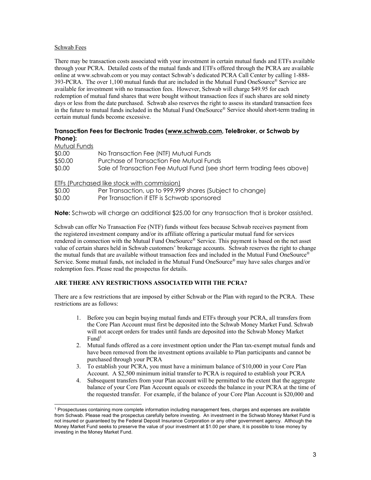#### Schwab Fees

 There may be transaction costs associated with your investment in certain mutual funds and ETFs available through your PCRA. Detailed costs of the mutual funds and ETFs offered through the PCRA are available online at<www.schwab.com> or you may contact Schwab's dedicated PCRA Call Center by calling 1-888- 393-PCRA. The over 1,100 mutual funds that are included in the Mutual Fund OneSource® Service are available for investment with no transaction fees. However, Schwab will charge \$49.95 for each redemption of mutual fund shares that were bought without transaction fees if such shares are sold ninety days or less from the date purchased. Schwab also reserves the right to assess its standard transaction fees certain mutual funds become excessive. in the future to mutual funds included in the Mutual Fund OneSource® Service should short-term trading in

# **Transaction Fees for Electronic Trades (<www.schwab.com>, TeleBroker, or Schwab by Phone):**

| Mutual Funds |                                                                         |
|--------------|-------------------------------------------------------------------------|
| \$0.00       | No Transaction Fee (NTF) Mutual Funds                                   |
| \$50.00      | Purchase of Transaction Fee Mutual Funds                                |
| \$0.00       | Sale of Transaction Fee Mutual Fund (see short term trading fees above) |

ETFs (Purchased like stock with commission)

| \$0.00 | Per Transaction, up to 999,999 shares (Subject to change) |
|--------|-----------------------------------------------------------|
| \$0.00 | Per Transaction if ETF is Schwab sponsored                |

**Note:** Schwab will charge an additional \$25.00 for any transaction that is broker assisted.

 Schwab can offer No Transaction Fee (NTF) funds without fees because Schwab receives payment from rendered in connection with the Mutual Fund OneSource® Service. This payment is based on the net asset value of certain shares held in Schwab customers' brokerage accounts. Schwab reserves the right to change the mutual funds that are available without transaction fees and included in the Mutual Fund OneSource® Service. Some mutual funds, not included in the Mutual Fund OneSource® may have sales charges and/or redemption fees. Please read the prospectus for details. the registered investment company and/or its affiliate offering a particular mutual fund for services

# **ARE THERE ANY RESTRICTIONS ASSOCIATED WITH THE PCRA?**

 There are a few restrictions that are imposed by either Schwab or the Plan with regard to the PCRA. These restrictions are as follows:

- 1. Before you can begin buying mutual funds and ETFs through your PCRA, all transfers from the Core Plan Account must first be deposited into the Schwab Money Market Fund. Schwab will not accept orders for trades until funds are deposited into the Schwab Money Market  $Fund<sup>1</sup>$
- 2. Mutual funds offered as a core investment option under the Plan tax-exempt mutual funds and have been removed from the investment options available to Plan participants and cannot be purchased through your PCRA
- 3. To establish your PCRA, you must have a minimum balance of \$10,000 in your Core Plan Account. A \$2,500 minimum initial transfer to PCRA is required to establish your PCRA
- 4. Subsequent transfers from your Plan account will be permitted to the extent that the aggregate balance of your Core Plan Account equals or exceeds the balance in your PCRA at the time of the requested transfer. For example, if the balance of your Core Plan Account is \$20,000 and

<sup>&</sup>lt;sup>1</sup> Prospectuses containing more complete information including management fees, charges and expenses are available not insured or guaranteed by the Federal Deposit Insurance Corporation or any other government agency. Although the Money Market Fund seeks to preserve the value of your investment at \$1.00 per share, it is possible to lose money by from Schwab. Please read the prospectus carefully before investing. An investment in the Schwab Money Market Fund is investing in the Money Market Fund.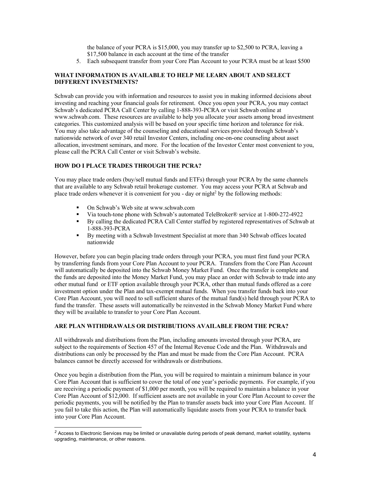\$17,500 balance in each account at the time of the transfer the balance of your PCRA is \$15,000, you may transfer up to \$2,500 to PCRA, leaving a

5. Each subsequent transfer from your Core Plan Account to your PCRA must be at least \$500

# **WHAT INFORMATION IS AVAILABLE TO HELP ME LEARN ABOUT AND SELECT DIFFERENT INVESTMENTS?**

 Schwab can provide you with information and resources to assist you in making informed decisions about Schwab's dedicated PCRA Call Center by calling 1-888-393-PCRA or visit Schwab online at [www.schwab.com.](www.schwab.com) These resources are available to help you allocate your assets among broad investment categories. This customized analysis will be based on your specific time horizon and tolerance for risk. You may also take advantage of the counseling and educational services provided through Schwab's nationwide network of over 340 retail Investor Centers, including one-on-one counseling about asset allocation, investment seminars, and more. For the location of the Investor Center most convenient to you, please call the PCRA Call Center or visit Schwab's website. investing and reaching your financial goals for retirement. Once you open your PCRA, you may contact

# **HOW DO I PLACE TRADES THROUGH THE PCRA?**

 You may place trade orders (buy/sell mutual funds and ETFs) through your PCRA by the same channels that are available to any Schwab retail brokerage customer. You may access your PCRA at Schwab and place trade orders whenever it is convenient for you - day or night<sup>2</sup> by the following methods:

- On Schwab's Web site at <www.schwab.com>
- Via touch-tone phone with Schwab's automated TeleBroker® service at 1-800-272-4922
- • By calling the dedicated PCRA Call Center staffed by registered representatives of Schwab at 1-888-393-PCRA
- • By meeting with a Schwab Investment Specialist at more than 340 Schwab offices located nationwide

 However, before you can begin placing trade orders through your PCRA, you must first fund your PCRA by transferring funds from your Core Plan Account to your PCRA. Transfers from the Core Plan Account will automatically be deposited into the Schwab Money Market Fund. Once the transfer is complete and the funds are deposited into the Money Market Fund, you may place an order with Schwab to trade into any other mutual fund or ETF option available through your PCRA, other than mutual funds offered as a core investment option under the Plan and tax-exempt mutual funds. When you transfer funds back into your Core Plan Account, you will need to sell sufficient shares of the mutual fund(s) held through your PCRA to fund the transfer. These assets will automatically be reinvested in the Schwab Money Market Fund where they will be available to transfer to your Core Plan Account.

#### **ARE PLAN WITHDRAWALS OR DISTRIBUTIONS AVAILABLE FROM THE PCRA?**

 All withdrawals and distributions from the Plan, including amounts invested through your PCRA, are subject to the requirements of Section 457 of the Internal Revenue Code and the Plan. Withdrawals and distributions can only be processed by the Plan and must be made from the Core Plan Account. PCRA balances cannot be directly accessed for withdrawals or distributions.

 Once you begin a distribution from the Plan, you will be required to maintain a minimum balance in your Core Plan Account that is sufficient to cover the total of one year's periodic payments. For example, if you are receiving a periodic payment of \$1,000 per month, you will be required to maintain a balance in your periodic payments, you will be notified by the Plan to transfer assets back into your Core Plan Account. If you fail to take this action, the Plan will automatically liquidate assets from your PCRA to transfer back Core Plan Account of \$12,000. If sufficient assets are not available in your Core Plan Account to cover the into your Core Plan Account.

 *<sup>2</sup>* Access to Electronic Services may be limited or unavailable during periods of peak demand, market volatility, systems upgrading, maintenance, or other reasons.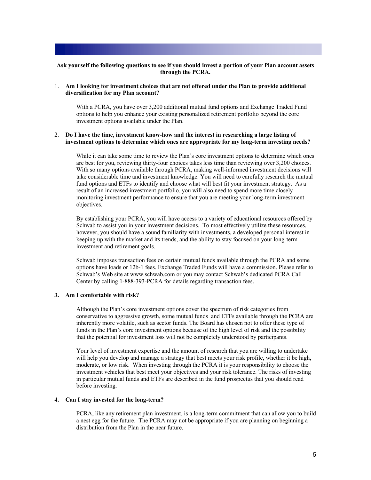#### **Ask yourself the following questions to see if you should invest a portion of your Plan account assets through the PCRA.**

 1. **Am I looking for investment choices that are not offered under the Plan to provide additional diversification for my Plan account?** 

 With a PCRA, you have over 3,200 additional mutual fund options and Exchange Traded Fund options to help you enhance your existing personalized retirement portfolio beyond the core investment options available under the Plan.

#### 2. **Do I have the time, investment know-how and the interest in researching a large listing of investment options to determine which ones are appropriate for my long-term investing needs?**

 While it can take some time to review the Plan's core investment options to determine which ones are best for you, reviewing thirty-four choices takes less time than reviewing over 3,200 choices. With so many options available through PCRA, making well-informed investment decisions will take considerable time and investment knowledge. You will need to carefully research the mutual fund options and ETFs to identify and choose what will best fit your investment strategy. As a result of an increased investment portfolio, you will also need to spend more time closely monitoring investment performance to ensure that you are meeting your long-term investment objectives.

 By establishing your PCRA, you will have access to a variety of educational resources offered by Schwab to assist you in your investment decisions. To most effectively utilize these resources, however, you should have a sound familiarity with investments, a developed personal interest in keeping up with the market and its trends, and the ability to stay focused on your long-term investment and retirement goals.

 Schwab imposes transaction fees on certain mutual funds available through the PCRA and some options have loads or 12b-1 fees. Exchange Traded Funds will have a commission. Please refer to Schwab's Web site at <www.schwab.com>or you may contact Schwab's dedicated PCRA Call Center by calling 1-888-393-PCRA for details regarding transaction fees.

#### **3. Am I comfortable with risk?**

 Although the Plan's core investment options cover the spectrum of risk categories from conservative to aggressive growth, some mutual funds and ETFs available through the PCRA are inherently more volatile, such as sector funds. The Board has chosen not to offer these type of funds in the Plan's core investment options because of the high level of risk and the possibility that the potential for investment loss will not be completely understood by participants.

 Your level of investment expertise and the amount of research that you are willing to undertake will help you develop and manage a strategy that best meets your risk profile, whether it be high, moderate, or low risk. When investing through the PCRA it is your responsibility to choose the investment vehicles that best meet your objectives and your risk tolerance. The risks of investing in particular mutual funds and ETFs are described in the fund prospectus that you should read before investing.

#### **4. Can I stay invested for the long-term?**

 PCRA, like any retirement plan investment, is a long-term commitment that can allow you to build a nest egg for the future. The PCRA may not be appropriate if you are planning on beginning a distribution from the Plan in the near future.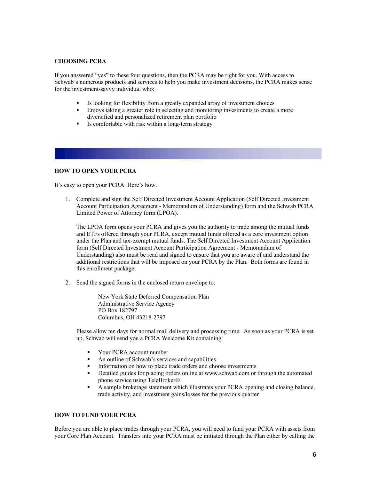#### **CHOOSING PCRA**

 If you answered "yes" to these four questions, then the PCRA may be right for you. With access to Schwab's numerous products and services to help you make investment decisions, the PCRA makes sense for the investment-savvy individual who:

- Is looking for flexibility from a greatly expanded array of investment choices
- • Enjoys taking a greater role in selecting and monitoring investments to create a more diversified and personalized retirement plan portfolio
- Is comfortable with risk within a long-term strategy

#### **HOW TO OPEN YOUR PCRA**

It's easy to open your PCRA. Here's how.

 1. Complete and sign the Self Directed Investment Account Application (Self Directed Investment Account Participation Agreement - Memorandum of Understanding) form and the Schwab PCRA Limited Power of Attorney form (LPOA).

 The LPOA form opens your PCRA and gives you the authority to trade among the mutual funds and ETFs offered through your PCRA, except mutual funds offered as a core investment option under the Plan and tax-exempt mutual funds. The Self Directed Investment Account Application form (Self Directed Investment Account Participation Agreement - Memorandum of Understanding) also must be read and signed to ensure that you are aware of and understand the additional restrictions that will be imposed on your PCRA by the Plan. Both forms are found in this enrollment package.

2. Send the signed forms in the enclosed return envelope to:

 New York State Deferred Compensation Plan Administrative Service Agency PO Box 182797 Columbus, OH 43218-2797

 Please allow ten days for normal mail delivery and processing time. As soon as your PCRA is set up, Schwab will send you a PCRA Welcome Kit containing:

- Your PCRA account number
- An outline of Schwab's services and capabilities
- **•** Information on how to place trade orders and choose investments
- • Detailed guides for placing orders online at <www.schwab.com>or through the automated phone service using TeleBroker®
- • A sample brokerage statement which illustrates your PCRA opening and closing balance, trade activity, and investment gains/losses for the previous quarter

#### **HOW TO FUND YOUR PCRA**

 Before you are able to place trades through your PCRA, you will need to fund your PCRA with assets from your Core Plan Account. Transfers into your PCRA must be initiated through the Plan either by calling the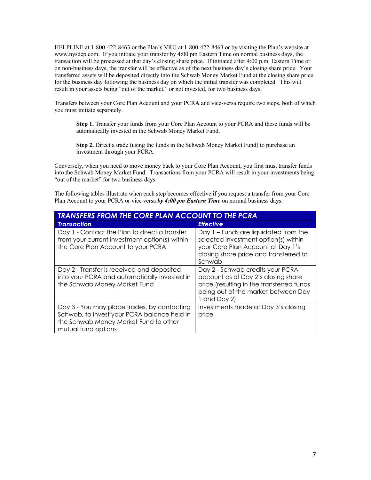HELPLINE at 1-800-422-8463 or the Plan's VRU at 1-800-422-8463 or by visiting the Plan's website at <www.nysdcp.com>. If you initiate your transfer by 4:00 pm Eastern Time on normal business days, the transaction will be processed at that day's closing share price. If initiated after 4:00 p.m. Eastern Time or on non-business days, the transfer will be effective as of the next business day's closing share price. Your for the business day following the business day on which the initial transfer was completed. This will result in your assets being "out of the market," or not invested, for two business days. transferred assets will be deposited directly into the Schwab Money Market Fund at the closing share price

 Transfers between your Core Plan Account and your PCRA and vice-versa require two steps, both of which you must initiate separately.

 **Step 1.** Transfer your funds from your Core Plan Account to your PCRA and these funds will be automatically invested in the Schwab Money Market Fund.

 **Step 2.** Direct a trade (using the funds in the Schwab Money Market Fund) to purchase an investment through your PCRA.

 Conversely, when you need to move money back to your Core Plan Account, you first must transfer funds into the Schwab Money Market Fund. Transactions from your PCRA will result in your investments being "out of the market" for two business days.

 The following tables illustrate when each step becomes effective if you request a transfer from your Core Plan Account to your PCRA or vice versa *by 4:00 pm Eastern Time* on normal business days.

| <b>TRANSFERS FROM THE CORE PLAN ACCOUNT TO THE PCRA</b>                                                                                                    |                                                                                                                                                                             |  |  |
|------------------------------------------------------------------------------------------------------------------------------------------------------------|-----------------------------------------------------------------------------------------------------------------------------------------------------------------------------|--|--|
| <b>Transaction</b>                                                                                                                                         | <b>Effective</b>                                                                                                                                                            |  |  |
| Day 1 - Contact the Plan to direct a transfer<br>from your current investment option(s) within<br>the Core Plan Account to your PCRA                       | Day 1 – Funds are liquidated from the<br>selected investment option(s) within<br>your Core Plan Account at Day 1's<br>closing share price and transferred to<br>Schwab      |  |  |
| Day 2 - Transfer is received and deposited<br>into your PCRA and automatically invested in<br>the Schwab Money Market Fund                                 | Day 2 - Schwab credits your PCRA<br>account as of Day 2's closing share<br>price (resulting in the transferred funds<br>being out of the market between Day<br>1 and Day 2) |  |  |
| Day 3 - You may place trades, by contacting<br>Schwab, to invest your PCRA balance held in<br>the Schwab Money Market Fund to other<br>mutual fund options | Investments made at Day 3's closing<br>price                                                                                                                                |  |  |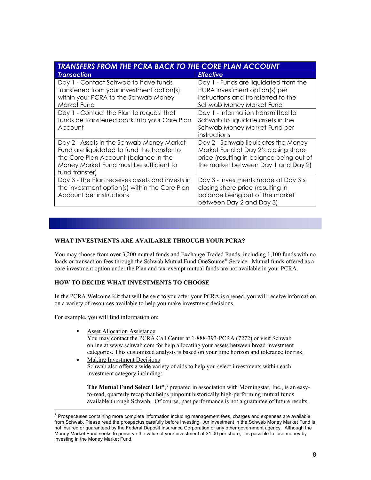| <b>TRANSFERS FROM THE PCRA BACK TO THE CORE PLAN ACCOUNT</b> |                                          |  |  |
|--------------------------------------------------------------|------------------------------------------|--|--|
| <b>Transaction</b>                                           | <b>Effective</b>                         |  |  |
| Day 1 - Contact Schwab to have funds                         | Day 1 - Funds are liquidated from the    |  |  |
| transferred from your investment option(s)                   | PCRA investment option(s) per            |  |  |
| within your PCRA to the Schwab Money                         | instructions and transferred to the      |  |  |
| Market Fund                                                  | Schwab Money Market Fund                 |  |  |
| Day 1 - Contact the Plan to request that                     | Day 1 - Information transmitted to       |  |  |
| funds be transferred back into your Core Plan                | Schwab to liquidate assets in the        |  |  |
| Account                                                      | Schwab Money Market Fund per             |  |  |
|                                                              | instructions                             |  |  |
| Day 2 - Assets in the Schwab Money Market                    | Day 2 - Schwab liquidates the Money      |  |  |
| Fund are liquidated to fund the transfer to                  | Market Fund at Day 2's closing share     |  |  |
| the Core Plan Account (balance in the                        | price (resulting in balance being out of |  |  |
| Money Market Fund must be sufficient to                      | the market between Day 1 and Day 2)      |  |  |
| fund transfer)                                               |                                          |  |  |
| Day 3 - The Plan receives assets and invests in              | Day 3 - Investments made at Day 3's      |  |  |
| the investment option(s) within the Core Plan                | closing share price (resulting in        |  |  |
| Account per instructions                                     | balance being out of the market          |  |  |
|                                                              | between Day 2 and Day 3)                 |  |  |

#### **WHAT INVESTMENTS ARE AVAILABLE THROUGH YOUR PCRA?**

 You may choose from over 3,200 mutual funds and Exchange Traded Funds, including 1,100 funds with no loads or transaction fees through the Schwab Mutual Fund OneSource® Service. Mutual funds offered as a core investment option under the Plan and tax-exempt mutual funds are not available in your PCRA.

#### **HOW TO DECIDE WHAT INVESTMENTS TO CHOOSE**

 In the PCRA Welcome Kit that will be sent to you after your PCRA is opened, you will receive information on a variety of resources available to help you make investment decisions.

For example, you will find information on:

- **Asset Allocation Assistance**  You may contact the PCRA Call Center at 1-888-393-PCRA (7272) or visit Schwab categories. This customized analysis is based on your time horizon and tolerance for risk. online at www.schwab.com for help allocating your assets between broad investment
- Making Investment Decisions Schwab also offers a wide variety of aids to help you select investments within each investment category including:

 **The Mutual Fund Select List®**, 3 prepared in association with Morningstar, Inc., is an easy- to-read, quarterly recap that helps pinpoint historically high-performing mutual funds available through Schwab. Of course, past performance is not a guarantee of future results.

 $^3$  Prospectuses containing more complete information including management fees, charges and expenses are available not insured or guaranteed by the Federal Deposit Insurance Corporation or any other government agency. Although the Money Market Fund seeks to preserve the value of your investment at \$1.00 per share, it is possible to lose money by from Schwab. Please read the prospectus carefully before investing. An investment in the Schwab Money Market Fund is investing in the Money Market Fund.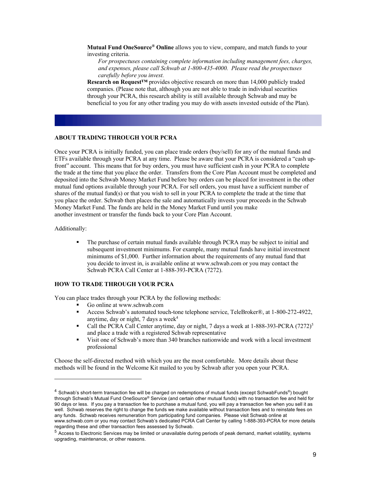**Mutual Fund OneSource® Online** allows you to view, compare, and match funds to your investing criteria.

 *For prospectuses containing complete information including management fees, charges, and expenses, please call Schwab at 1-800-435-4000. Please read the prospectuses carefully before you invest.* 

 **Research on Request™** provides objective research on more than 14,000 publicly traded companies. (Please note that, although you are not able to trade in individual securities beneficial to you for any other trading you may do with assets invested outside of the Plan). through your PCRA, this research ability is still available through Schwab and may be

#### **ABOUT TRADING THROUGH YOUR PCRA**

 Once your PCRA is initially funded, you can place trade orders (buy/sell) for any of the mutual funds and ETFs available through your PCRA at any time. Please be aware that your PCRA is considered a "cash up- front" account. This means that for buy orders, you must have sufficient cash in your PCRA to complete the trade at the time that you place the order. Transfers from the Core Plan Account must be completed and deposited into the Schwab Money Market Fund before buy orders can be placed for investment in the other mutual fund options available through your PCRA. For sell orders, you must have a sufficient number of shares of the mutual fund(s) or that you wish to sell in your PCRA to complete the trade at the time that you place the order. Schwab then places the sale and automatically invests your proceeds in the Schwab Money Market Fund. The funds are held in the Money Market Fund until you make another investment or transfer the funds back to your Core Plan Account.

Additionally:

• The purchase of certain mutual funds available through PCRA may be subject to initial and subsequent investment minimums. For example, many mutual funds have initial investment minimums of \$1,000. Further information about the requirements of any mutual fund that you decide to invest in, is available online at<www.schwab.com> or you may contact the Schwab PCRA Call Center at 1-888-393-PCRA (7272).

# **HOW TO TRADE THROUGH YOUR PCRA**

You can place trades through your PCRA by the following methods:

- Go online at <www.schwab.com>
- Access Schwab's automated touch-tone telephone service, TeleBroker®, at 1-800-272-4922, anytime, day or night,  $7$  days a week $4$
- Call the PCRA Call Center anytime, day or night, 7 days a week at 1-888-393-PCRA (7272)<sup>5</sup> and place a trade with a registered Schwab representative
- • Visit one of Schwab's more than 340 branches nationwide and work with a local investment professional

 Choose the self-directed method with which you are the most comfortable. More details about these methods will be found in the Welcome Kit mailed to you by Schwab after you open your PCRA.

 through Schwab's Mutual Fund OneSource® Service (and certain other mutual funds) with no transaction fee and held for 90 days or less. If you pay a transaction fee to purchase a mutual fund, you will pay a transaction fee when you sell it as well. Schwab reserves the right to change the funds we make available without transaction fees and to reinstate fees on any funds. Schwab receives remuneration from participating fund companies. Please visit Schwab online at <www.schwab.com> or you may contact Schwab's dedicated PCRA Call Center by calling 1-888-393-PCRA for more details regarding these and other transaction fees assessed by Schwab. <sup>4</sup> Schwab's short-term transaction fee will be charged on redemptions of mutual funds (except SchwabFunds®) bought

 $^5$  Access to Electronic Services may be limited or unavailable during periods of peak demand, market volatility, systems upgrading, maintenance, or other reasons.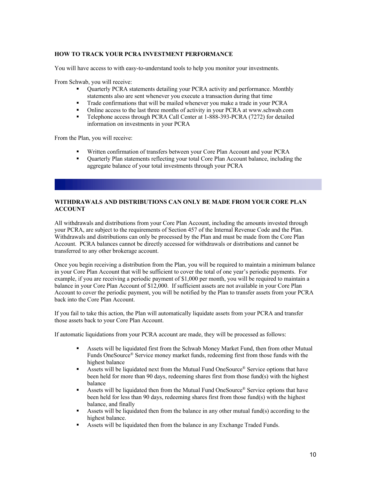### **HOW TO TRACK YOUR PCRA INVESTMENT PERFORMANCE**

You will have access to with easy-to-understand tools to help you monitor your investments.

From Schwab, you will receive:

- Quarterly PCRA statements detailing your PCRA activity and performance. Monthly statements also are sent whenever you execute a transaction during that time
- **•** Trade confirmations that will be mailed whenever you make a trade in your PCRA
- Online access to the last three months of activity in your PCRA at<www.schwab.com>
- • Telephone access through PCRA Call Center at 1-888-393-PCRA (7272) for detailed information on investments in your PCRA

From the Plan, you will receive:

- Written confirmation of transfers between your Core Plan Account and your PCRA
- • Quarterly Plan statements reflecting your total Core Plan Account balance, including the aggregate balance of your total investments through your PCRA

# **WITHDRAWALS AND DISTRIBUTIONS CAN ONLY BE MADE FROM YOUR CORE PLAN ACCOUNT**

 All withdrawals and distributions from your Core Plan Account, including the amounts invested through your PCRA, are subject to the requirements of Section 457 of the Internal Revenue Code and the Plan. Withdrawals and distributions can only be processed by the Plan and must be made from the Core Plan Account. PCRA balances cannot be directly accessed for withdrawals or distributions and cannot be transferred to any other brokerage account.

 Once you begin receiving a distribution from the Plan, you will be required to maintain a minimum balance example, if you are receiving a periodic payment of \$1,000 per month, you will be required to maintain a balance in your Core Plan Account of \$12,000. If sufficient assets are not available in your Core Plan Account to cover the periodic payment, you will be notified by the Plan to transfer assets from your PCRA back into the Core Plan Account. in your Core Plan Account that will be sufficient to cover the total of one year's periodic payments. For

back into the Core Plan Account.<br>If you fail to take this action, the Plan will automatically liquidate assets from your PCRA and transfer those assets back to your Core Plan Account.

If automatic liquidations from your PCRA account are made, they will be processed as follows:

- Assets will be liquidated first from the Schwab Money Market Fund, then from other Mutual Funds OneSource® Service money market funds, redeeming first from those funds with the highest balance
- Assets will be liquidated next from the Mutual Fund OneSource® Service options that have been held for more than 90 days, redeeming shares first from those fund(s) with the highest balance
- Assets will be liquidated then from the Mutual Fund OneSource® Service options that have been held for less than 90 days, redeeming shares first from those fund(s) with the highest balance, and finally
- Assets will be liquidated then from the balance in any other mutual fund(s) according to the highest balance.
- Assets will be liquidated then from the balance in any Exchange Traded Funds.